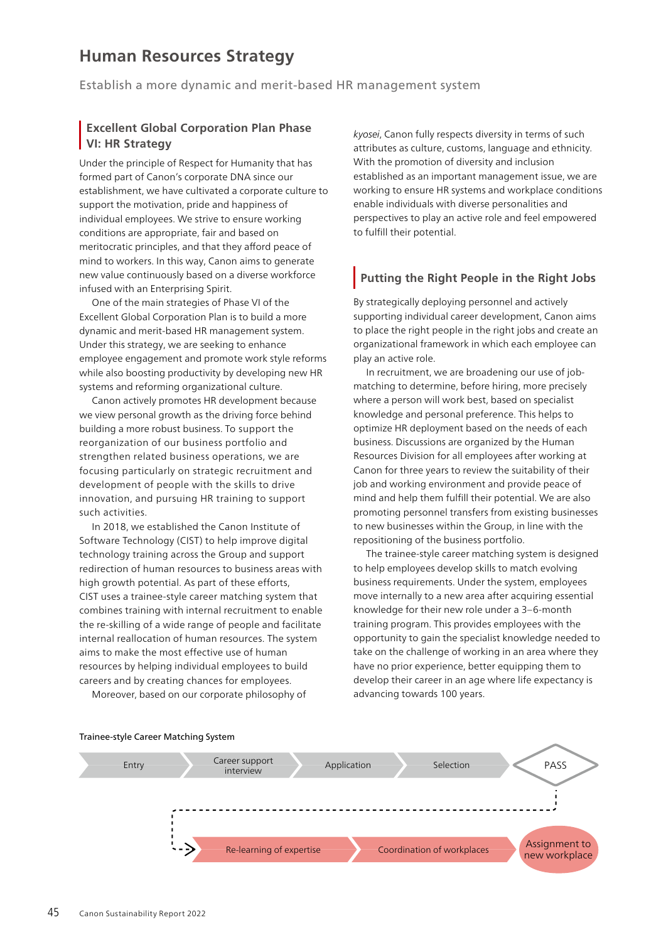# **Human Resources Strategy**

Establish a more dynamic and merit-based HR management system

#### **Excellent Global Corporation Plan Phase VI: HR Strategy**

Under the principle of Respect for Humanity that has formed part of Canon's corporate DNA since our establishment, we have cultivated a corporate culture to support the motivation, pride and happiness of individual employees. We strive to ensure working conditions are appropriate, fair and based on meritocratic principles, and that they afford peace of mind to workers. In this way, Canon aims to generate new value continuously based on a diverse workforce infused with an Enterprising Spirit.

One of the main strategies of Phase VI of the Excellent Global Corporation Plan is to build a more dynamic and merit-based HR management system. Under this strategy, we are seeking to enhance employee engagement and promote work style reforms while also boosting productivity by developing new HR systems and reforming organizational culture.

Canon actively promotes HR development because we view personal growth as the driving force behind building a more robust business. To support the reorganization of our business portfolio and strengthen related business operations, we are focusing particularly on strategic recruitment and development of people with the skills to drive innovation, and pursuing HR training to support such activities.

In 2018, we established the Canon Institute of Software Technology (CIST) to help improve digital technology training across the Group and support redirection of human resources to business areas with high growth potential. As part of these efforts, CIST uses a trainee-style career matching system that combines training with internal recruitment to enable the re-skilling of a wide range of people and facilitate internal reallocation of human resources. The system aims to make the most effective use of human resources by helping individual employees to build careers and by creating chances for employees.

Moreover, based on our corporate philosophy of

*kyosei*, Canon fully respects diversity in terms of such attributes as culture, customs, language and ethnicity. With the promotion of diversity and inclusion established as an important management issue, we are working to ensure HR systems and workplace conditions enable individuals with diverse personalities and perspectives to play an active role and feel empowered to fulfill their potential.

# **Putting the Right People in the Right Jobs**

By strategically deploying personnel and actively supporting individual career development, Canon aims to place the right people in the right jobs and create an organizational framework in which each employee can play an active role.

In recruitment, we are broadening our use of jobmatching to determine, before hiring, more precisely where a person will work best, based on specialist knowledge and personal preference. This helps to optimize HR deployment based on the needs of each business. Discussions are organized by the Human Resources Division for all employees after working at Canon for three years to review the suitability of their job and working environment and provide peace of mind and help them fulfill their potential. We are also promoting personnel transfers from existing businesses to new businesses within the Group, in line with the repositioning of the business portfolio.

The trainee-style career matching system is designed to help employees develop skills to match evolving business requirements. Under the system, employees move internally to a new area after acquiring essential knowledge for their new role under a 3–6-month training program. This provides employees with the opportunity to gain the specialist knowledge needed to take on the challenge of working in an area where they have no prior experience, better equipping them to develop their career in an age where life expectancy is advancing towards 100 years.